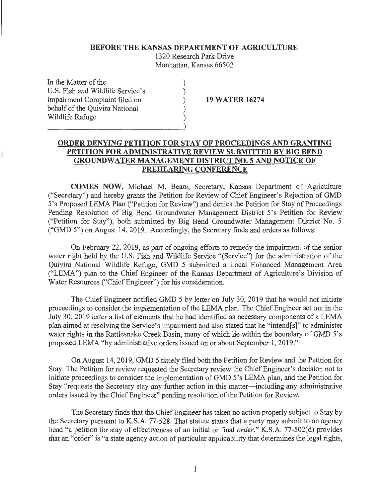## **BEFORE THE KANSAS DEPARTMENT OF AGRICULTURE**

1320 Research Park Drive Manhattan, Kansas 66502

> ) ) ) ) )

In the Matter of the U.S. Fish and Wildlife Service's Impairment Complaint filed on behalf of the Quivira National Wildlife Refuge

**19 WATER 16274** 

## **ORDER DENYING PETITION FOR STAY OF PROCEEDINGS AND GRANTING PETITION FOR ADMINISTRATIVE REVIEW SUBMITTED BY BIG BEND GROUNDWATER MANAGEMENT DISTRICT NO.5 AND NOTICE OF PREHEARING CONFERENCE**

**COMES NOW,** Michael M. Beam, Secretary, Kansas Department of Agriculture ("Secretary") and hereby grants the Petition for Review of Chief Engineer's Rejection of GMD 5 's Proposed LEMA Plan ("Petition for Review") and denies the Petition for Stay of Proceedings Pending Resolution of Big Bend Groundwater Management District 5's Petition for Review ("Petition for Stay"), both submitted by Big Bend Groundwater Management District No. 5 ("GMD 5") on August 14, 2019. Accordingly, the Secretary finds and orders as follows:

On February 22, 2019, as part of ongoing efforts to remedy the impairment of the senior water right held by the U.S. Fish and Wildlife Service "(Service") for the administration of the Quivira National Wildlife Refuge, GMD 5 submitted a Local Enhanced Management Area ("LEMA") plan to the Chief Engineer of the Kansas Department of Agriculture's Division of Water Resources ("Chief Engineer") for his consideration.

The Chief Engineer notified GMD 5 by letter on July 30, 2019 that he would not initiate proceedings to consider the implementation of the LEMA plan. The Chief Engineer set out in the July 30, 2019 letter a list of elements that he had identified as necessary components of a LEMA plan aimed at resolving the Service's impairment and also stated that he "intend[s]" to administer water rights in the Rattlesnake Creek Basin, many of which lie within the boundary of GMD 5's proposed LEMA "by administrative orders issued on or about September 1, 2019."

On August 14, 2019, GMD 5 timely filed both the Petition for Review and the Petition for Stay. The Petition for review requested the Secretary review the Chief Engineer's decision not to initiate proceedings to consider the implementation of GMD 5's LEMA plan, and the Petition for Stay "requests the Secretary stay any further action in this matter-including any administrative orders issued by the Chief Engineer" pending resolution of the Petition for Review.

The Secretary finds that the Chief Engineer has taken no action properly subject to Stay by the Secretary pursuant to K.S.A. 77-528. That statute states that a party may submit to an agency head "a petition for stay of effectiveness of an initial or final *order."* K.S.A. 77-502(d) provides that an "order" is "a state agency action of particular applicability that determines the legal rights,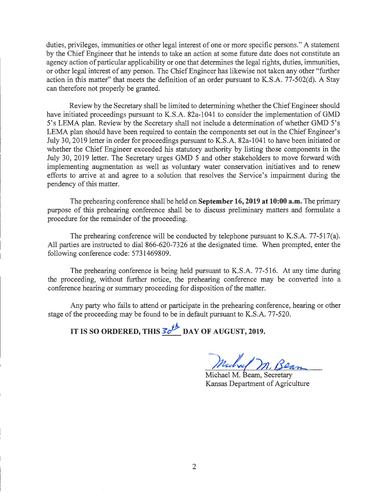duties, privileges, immunities or other legal interest of one or more specific persons." A statement by the Chief Engineer that he intends to take an action at some future date does not constitute an agency action of particular applicability or one that determines the legal rights, duties, immunities, or other legal interest of any person. The Chief Engineer has likewise not taken any other "further action in this matter" that meets the definition of an order pursuant to K.S.A. 77-502(d). A Stay can therefore not properly be granted.

Review by the Secretary shall be limited to determining whether the Chief Engineer should have initiated proceedings pursuant to K.S.A. 82a-1041 to consider the implementation of GMD 5's LEMA plan. Review by the Secretary shall not include a determination of whether GMD 5's LEMA plan should have been required to contain the components set out in the Chief Engineer's July 30, 2019 letter in order for proceedings pursuant to K.S.A. 82a-1041 to have been initiated or whether the Chief Engineer exceeded his statutory authority by listing those components in the July 30, 2019 letter. The Secretary urges GMD 5 and other stakeholders to move forward with implementing augmentation as well as voluntary water conservation initiatives and to renew efforts to arrive at and agree to a solution that resolves the Service's impairment during the pendency of this matter.

The prehearing conference shall be held on **September 16,2019 at 10:00 a.m.** The primary purpose of this prehearing conference shall be to discuss preliminary matters and formulate a procedure for the remainder of the proceeding.

The prehearing conference will be conducted by telephone pursuant to K.S.A. 77-517(a). All parties are instructed to dial 866-620-7326 at the designated time. When prompted, enter the following conference code: 5731469809.

The prehearing conference is being held pursuant to K.S.A. 77-516. At any time during the proceeding, without further notice, the prehearing conference may be converted into a conference hearing or summary proceeding for disposition of the matter.

Any party who fails to attend or participate in the prehearing conference, hearing or other stage of the proceeding may be found to be in default pursuant to K.S.A. 77-520.

**IT IS SO ORDERED, THIS**  $\overline{3}c^{\frac{1}{2}}$  **DAY OF AUGUST, 2019.** 

Michael M. Beam, Secretary Kansas Department of Agriculture